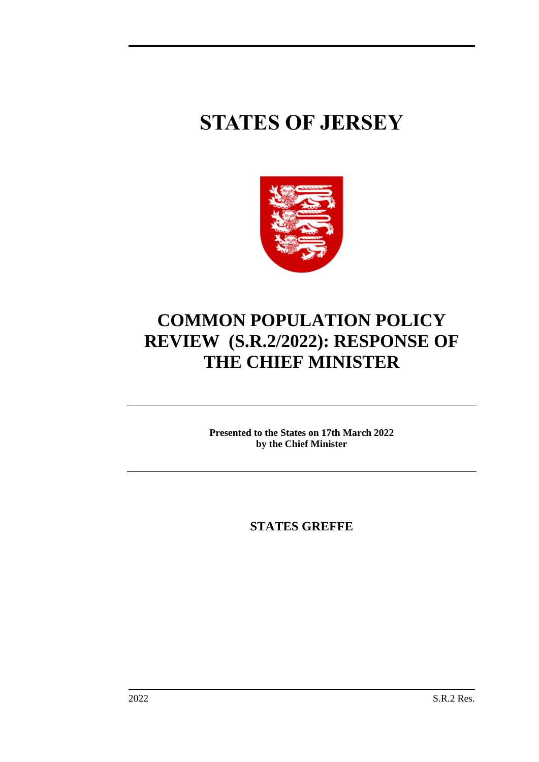# **STATES OF JERSEY**



# **COMMON POPULATION POLICY REVIEW (S.R.2/2022): RESPONSE OF THE CHIEF MINISTER**

**Presented to the States on 17th March 2022 by the Chief Minister**

**STATES GREFFE**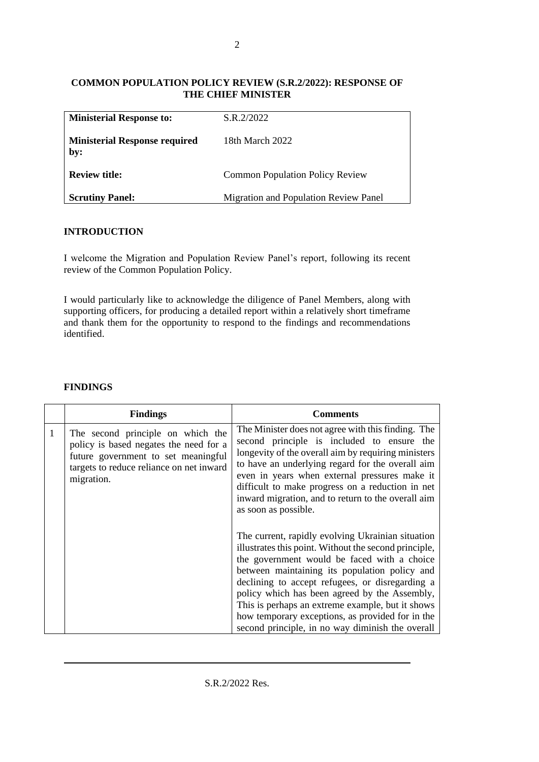#### **COMMON POPULATION POLICY REVIEW (S.R.2/2022): RESPONSE OF THE CHIEF MINISTER**

| <b>Ministerial Response to:</b>             | S.R.2/2022                             |
|---------------------------------------------|----------------------------------------|
| <b>Ministerial Response required</b><br>by: | 18th March 2022                        |
| <b>Review title:</b>                        | <b>Common Population Policy Review</b> |
| <b>Scrutiny Panel:</b>                      | Migration and Population Review Panel  |

# **INTRODUCTION**

I welcome the Migration and Population Review Panel's report, following its recent review of the Common Population Policy.

I would particularly like to acknowledge the diligence of Panel Members, along with supporting officers, for producing a detailed report within a relatively short timeframe and thank them for the opportunity to respond to the findings and recommendations identified.

|              | <b>Findings</b>                                                                                                                                                              | <b>Comments</b>                                                                                                                                                                                                                                                                                                                                                                                                                                                            |
|--------------|------------------------------------------------------------------------------------------------------------------------------------------------------------------------------|----------------------------------------------------------------------------------------------------------------------------------------------------------------------------------------------------------------------------------------------------------------------------------------------------------------------------------------------------------------------------------------------------------------------------------------------------------------------------|
| $\mathbf{1}$ | The second principle on which the<br>policy is based negates the need for a<br>future government to set meaningful<br>targets to reduce reliance on net inward<br>migration. | The Minister does not agree with this finding. The<br>second principle is included to ensure the<br>longevity of the overall aim by requiring ministers<br>to have an underlying regard for the overall aim<br>even in years when external pressures make it<br>difficult to make progress on a reduction in net<br>inward migration, and to return to the overall aim<br>as soon as possible.                                                                             |
|              |                                                                                                                                                                              | The current, rapidly evolving Ukrainian situation<br>illustrates this point. Without the second principle,<br>the government would be faced with a choice<br>between maintaining its population policy and<br>declining to accept refugees, or disregarding a<br>policy which has been agreed by the Assembly,<br>This is perhaps an extreme example, but it shows<br>how temporary exceptions, as provided for in the<br>second principle, in no way diminish the overall |

## **FINDINGS**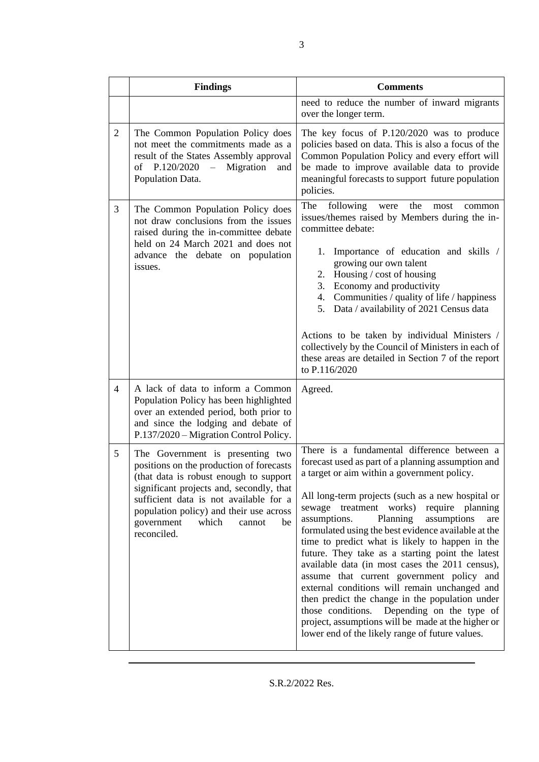|                | <b>Findings</b>                                                                                                                                                                                                                                                                                               | <b>Comments</b>                                                                                                                                                                                                                                                                                                                                                                                                                                                                                                                                                                                                                                                                                                                                                                                                                          |
|----------------|---------------------------------------------------------------------------------------------------------------------------------------------------------------------------------------------------------------------------------------------------------------------------------------------------------------|------------------------------------------------------------------------------------------------------------------------------------------------------------------------------------------------------------------------------------------------------------------------------------------------------------------------------------------------------------------------------------------------------------------------------------------------------------------------------------------------------------------------------------------------------------------------------------------------------------------------------------------------------------------------------------------------------------------------------------------------------------------------------------------------------------------------------------------|
|                |                                                                                                                                                                                                                                                                                                               | need to reduce the number of inward migrants<br>over the longer term.                                                                                                                                                                                                                                                                                                                                                                                                                                                                                                                                                                                                                                                                                                                                                                    |
| $\overline{2}$ | The Common Population Policy does<br>not meet the commitments made as a<br>result of the States Assembly approval<br>of P.120/2020<br>$\hspace{0.1mm}-\hspace{0.1mm}$<br>Migration<br>and<br>Population Data.                                                                                                 | The key focus of P.120/2020 was to produce<br>policies based on data. This is also a focus of the<br>Common Population Policy and every effort will<br>be made to improve available data to provide<br>meaningful forecasts to support future population<br>policies.                                                                                                                                                                                                                                                                                                                                                                                                                                                                                                                                                                    |
| 3              | The Common Population Policy does<br>not draw conclusions from the issues<br>raised during the in-committee debate<br>held on 24 March 2021 and does not<br>advance the debate on population<br>issues.                                                                                                       | The<br>following<br>the<br>were<br>most<br>common<br>issues/themes raised by Members during the in-<br>committee debate:<br>Importance of education and skills /<br>1.<br>growing our own talent<br>2. Housing / cost of housing<br>3. Economy and productivity<br>4. Communities / quality of life / happiness<br>5. Data / availability of 2021 Census data<br>Actions to be taken by individual Ministers /<br>collectively by the Council of Ministers in each of<br>these areas are detailed in Section 7 of the report<br>to P.116/2020                                                                                                                                                                                                                                                                                            |
| $\overline{4}$ | A lack of data to inform a Common<br>Population Policy has been highlighted<br>over an extended period, both prior to<br>and since the lodging and debate of<br>P.137/2020 - Migration Control Policy.                                                                                                        | Agreed.                                                                                                                                                                                                                                                                                                                                                                                                                                                                                                                                                                                                                                                                                                                                                                                                                                  |
| 5              | The Government is presenting two<br>positions on the production of forecasts<br>(that data is robust enough to support<br>significant projects and, secondly, that<br>sufficient data is not available for a<br>population policy) and their use across<br>government<br>which<br>cannot<br>be<br>reconciled. | There is a fundamental difference between a<br>forecast used as part of a planning assumption and<br>a target or aim within a government policy.<br>All long-term projects (such as a new hospital or<br>sewage treatment<br>works)<br>require<br>planning<br>assumptions.<br>Planning<br>assumptions<br>are<br>formulated using the best evidence available at the<br>time to predict what is likely to happen in the<br>future. They take as a starting point the latest<br>available data (in most cases the 2011 census),<br>assume that current government policy and<br>external conditions will remain unchanged and<br>then predict the change in the population under<br>those conditions.<br>Depending on the type of<br>project, assumptions will be made at the higher or<br>lower end of the likely range of future values. |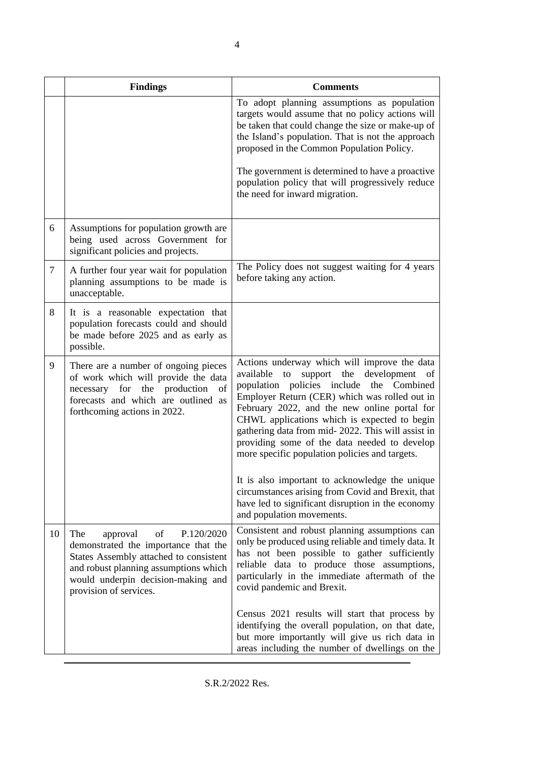|                | <b>Findings</b>                                                                                                                                                                                                                | <b>Comments</b>                                                                                                                                                                                                                                                                                                                                                                                                                                    |
|----------------|--------------------------------------------------------------------------------------------------------------------------------------------------------------------------------------------------------------------------------|----------------------------------------------------------------------------------------------------------------------------------------------------------------------------------------------------------------------------------------------------------------------------------------------------------------------------------------------------------------------------------------------------------------------------------------------------|
|                |                                                                                                                                                                                                                                | To adopt planning assumptions as population<br>targets would assume that no policy actions will<br>be taken that could change the size or make-up of<br>the Island's population. That is not the approach<br>proposed in the Common Population Policy.                                                                                                                                                                                             |
|                |                                                                                                                                                                                                                                | The government is determined to have a proactive<br>population policy that will progressively reduce<br>the need for inward migration.                                                                                                                                                                                                                                                                                                             |
| 6              | Assumptions for population growth are<br>being used across Government for<br>significant policies and projects.                                                                                                                |                                                                                                                                                                                                                                                                                                                                                                                                                                                    |
| $\overline{7}$ | A further four year wait for population<br>planning assumptions to be made is<br>unacceptable.                                                                                                                                 | The Policy does not suggest waiting for 4 years<br>before taking any action.                                                                                                                                                                                                                                                                                                                                                                       |
| 8              | It is a reasonable expectation that<br>population forecasts could and should<br>be made before 2025 and as early as<br>possible.                                                                                               |                                                                                                                                                                                                                                                                                                                                                                                                                                                    |
| 9              | There are a number of ongoing pieces<br>of work which will provide the data<br>necessary for the production<br>of<br>forecasts and which are outlined as<br>forthcoming actions in 2022.                                       | Actions underway which will improve the data<br>support the development of<br>available<br>to<br>population policies include the Combined<br>Employer Return (CER) which was rolled out in<br>February 2022, and the new online portal for<br>CHWL applications which is expected to begin<br>gathering data from mid- 2022. This will assist in<br>providing some of the data needed to develop<br>more specific population policies and targets. |
|                |                                                                                                                                                                                                                                | It is also important to acknowledge the unique<br>circumstances arising from Covid and Brexit, that<br>have led to significant disruption in the economy<br>and population movements.                                                                                                                                                                                                                                                              |
| 10             | P.120/2020<br>The<br>approval<br>of<br>demonstrated the importance that the<br>States Assembly attached to consistent<br>and robust planning assumptions which<br>would underpin decision-making and<br>provision of services. | Consistent and robust planning assumptions can<br>only be produced using reliable and timely data. It<br>has not been possible to gather sufficiently<br>reliable data to produce those assumptions,<br>particularly in the immediate aftermath of the<br>covid pandemic and Brexit.                                                                                                                                                               |
|                |                                                                                                                                                                                                                                | Census 2021 results will start that process by<br>identifying the overall population, on that date,<br>but more importantly will give us rich data in<br>areas including the number of dwellings on the                                                                                                                                                                                                                                            |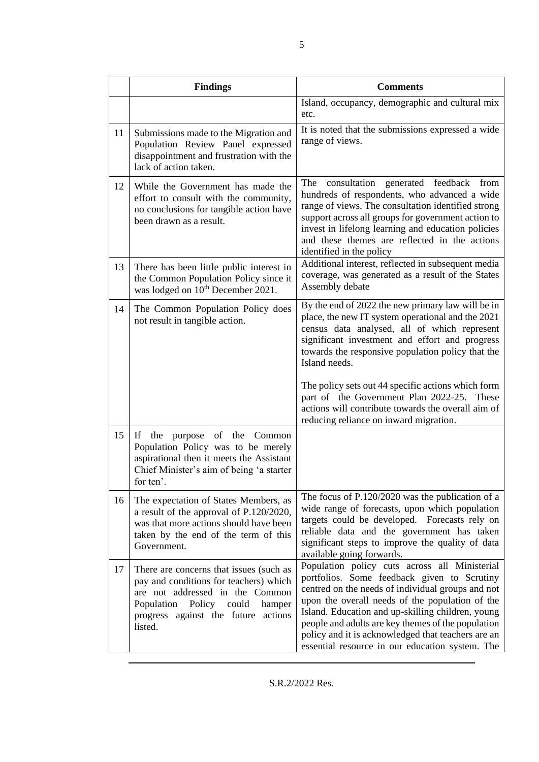|    | <b>Findings</b>                                                                                                                                                                                                | <b>Comments</b>                                                                                                                                                                                                                                                                                                                                                                                                                                                                    |
|----|----------------------------------------------------------------------------------------------------------------------------------------------------------------------------------------------------------------|------------------------------------------------------------------------------------------------------------------------------------------------------------------------------------------------------------------------------------------------------------------------------------------------------------------------------------------------------------------------------------------------------------------------------------------------------------------------------------|
|    |                                                                                                                                                                                                                | Island, occupancy, demographic and cultural mix<br>etc.                                                                                                                                                                                                                                                                                                                                                                                                                            |
| 11 | Submissions made to the Migration and<br>Population Review Panel expressed<br>disappointment and frustration with the<br>lack of action taken.                                                                 | It is noted that the submissions expressed a wide<br>range of views.                                                                                                                                                                                                                                                                                                                                                                                                               |
| 12 | While the Government has made the<br>effort to consult with the community,<br>no conclusions for tangible action have<br>been drawn as a result.                                                               | The consultation generated feedback<br>from<br>hundreds of respondents, who advanced a wide<br>range of views. The consultation identified strong<br>support across all groups for government action to<br>invest in lifelong learning and education policies<br>and these themes are reflected in the actions<br>identified in the policy                                                                                                                                         |
| 13 | There has been little public interest in<br>the Common Population Policy since it<br>was lodged on 10 <sup>th</sup> December 2021.                                                                             | Additional interest, reflected in subsequent media<br>coverage, was generated as a result of the States<br>Assembly debate                                                                                                                                                                                                                                                                                                                                                         |
| 14 | The Common Population Policy does<br>not result in tangible action.                                                                                                                                            | By the end of 2022 the new primary law will be in<br>place, the new IT system operational and the 2021<br>census data analysed, all of which represent<br>significant investment and effort and progress<br>towards the responsive population policy that the<br>Island needs.<br>The policy sets out 44 specific actions which form<br>part of the Government Plan 2022-25. These<br>actions will contribute towards the overall aim of<br>reducing reliance on inward migration. |
| 15 | If the<br>purpose<br>of the Common<br>Population Policy was to be merely<br>aspirational then it meets the Assistant<br>Chief Minister's aim of being 'a starter<br>for ten'.                                  |                                                                                                                                                                                                                                                                                                                                                                                                                                                                                    |
| 16 | The expectation of States Members, as<br>a result of the approval of P.120/2020,<br>was that more actions should have been<br>taken by the end of the term of this<br>Government.                              | The focus of P.120/2020 was the publication of a<br>wide range of forecasts, upon which population<br>targets could be developed. Forecasts rely on<br>reliable data and the government has taken<br>significant steps to improve the quality of data<br>available going forwards.                                                                                                                                                                                                 |
| 17 | There are concerns that issues (such as<br>pay and conditions for teachers) which<br>are not addressed in the Common<br>Population<br>Policy could<br>hamper<br>progress against the future actions<br>listed. | Population policy cuts across all Ministerial<br>portfolios. Some feedback given to Scrutiny<br>centred on the needs of individual groups and not<br>upon the overall needs of the population of the<br>Island. Education and up-skilling children, young<br>people and adults are key themes of the population<br>policy and it is acknowledged that teachers are an<br>essential resource in our education system. The                                                           |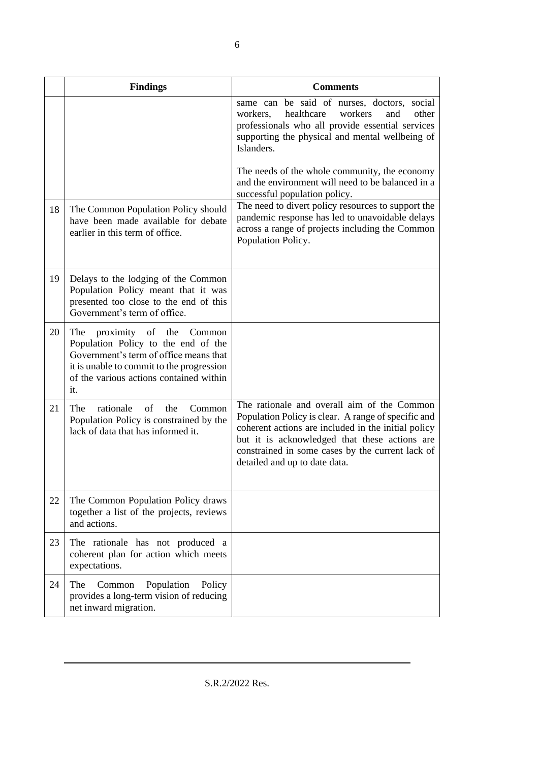|    | <b>Findings</b>                                                                                                                                                                                                   | <b>Comments</b>                                                                                                                                                                                                                                                                                                                                                                                                    |
|----|-------------------------------------------------------------------------------------------------------------------------------------------------------------------------------------------------------------------|--------------------------------------------------------------------------------------------------------------------------------------------------------------------------------------------------------------------------------------------------------------------------------------------------------------------------------------------------------------------------------------------------------------------|
| 18 | The Common Population Policy should                                                                                                                                                                               | same can be said of nurses, doctors, social<br>healthcare<br>workers<br>other<br>workers,<br>and<br>professionals who all provide essential services<br>supporting the physical and mental wellbeing of<br>Islanders.<br>The needs of the whole community, the economy<br>and the environment will need to be balanced in a<br>successful population policy.<br>The need to divert policy resources to support the |
|    | have been made available for debate<br>earlier in this term of office.                                                                                                                                            | pandemic response has led to unavoidable delays<br>across a range of projects including the Common<br>Population Policy.                                                                                                                                                                                                                                                                                           |
| 19 | Delays to the lodging of the Common<br>Population Policy meant that it was<br>presented too close to the end of this<br>Government's term of office.                                                              |                                                                                                                                                                                                                                                                                                                                                                                                                    |
| 20 | proximity of the<br>The<br>Common<br>Population Policy to the end of the<br>Government's term of office means that<br>it is unable to commit to the progression<br>of the various actions contained within<br>it. |                                                                                                                                                                                                                                                                                                                                                                                                                    |
| 21 | rationale<br>The<br>of<br>the<br>Common<br>Population Policy is constrained by the<br>lack of data that has informed it.                                                                                          | The rationale and overall aim of the Common<br>Population Policy is clear. A range of specific and<br>coherent actions are included in the initial policy<br>but it is acknowledged that these actions are<br>constrained in some cases by the current lack of<br>detailed and up to date data.                                                                                                                    |
| 22 | The Common Population Policy draws<br>together a list of the projects, reviews<br>and actions.                                                                                                                    |                                                                                                                                                                                                                                                                                                                                                                                                                    |
| 23 | The rationale has not produced a<br>coherent plan for action which meets<br>expectations.                                                                                                                         |                                                                                                                                                                                                                                                                                                                                                                                                                    |
| 24 | Population<br>The<br>Common<br>Policy<br>provides a long-term vision of reducing<br>net inward migration.                                                                                                         |                                                                                                                                                                                                                                                                                                                                                                                                                    |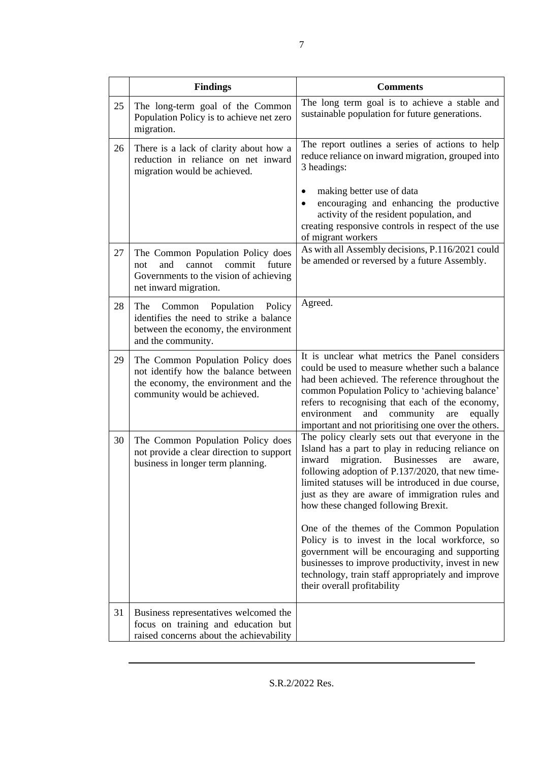|    | <b>Findings</b>                                                                                                                                   | <b>Comments</b>                                                                                                                                                                                                                                                                                                                                                        |
|----|---------------------------------------------------------------------------------------------------------------------------------------------------|------------------------------------------------------------------------------------------------------------------------------------------------------------------------------------------------------------------------------------------------------------------------------------------------------------------------------------------------------------------------|
| 25 | The long-term goal of the Common<br>Population Policy is to achieve net zero<br>migration.                                                        | The long term goal is to achieve a stable and<br>sustainable population for future generations.                                                                                                                                                                                                                                                                        |
| 26 | There is a lack of clarity about how a<br>reduction in reliance on net inward<br>migration would be achieved.                                     | The report outlines a series of actions to help<br>reduce reliance on inward migration, grouped into<br>3 headings:                                                                                                                                                                                                                                                    |
|    |                                                                                                                                                   | making better use of data<br>encouraging and enhancing the productive<br>activity of the resident population, and<br>creating responsive controls in respect of the use<br>of migrant workers                                                                                                                                                                          |
| 27 | The Common Population Policy does<br>and<br>cannot<br>commit<br>future<br>not<br>Governments to the vision of achieving<br>net inward migration.  | As with all Assembly decisions, P.116/2021 could<br>be amended or reversed by a future Assembly.                                                                                                                                                                                                                                                                       |
| 28 | Common Population<br>Policy<br>The<br>identifies the need to strike a balance<br>between the economy, the environment<br>and the community.       | Agreed.                                                                                                                                                                                                                                                                                                                                                                |
| 29 | The Common Population Policy does<br>not identify how the balance between<br>the economy, the environment and the<br>community would be achieved. | It is unclear what metrics the Panel considers<br>could be used to measure whether such a balance<br>had been achieved. The reference throughout the<br>common Population Policy to 'achieving balance'<br>refers to recognising that each of the economy,<br>and<br>community<br>environment<br>are<br>equally<br>important and not prioritising one over the others. |
| 30 | The Common Population Policy does<br>not provide a clear direction to support<br>business in longer term planning.                                | The policy clearly sets out that everyone in the<br>Island has a part to play in reducing reliance on<br>migration. Businesses<br>inward<br>are<br>aware,<br>following adoption of P.137/2020, that new time-<br>limited statuses will be introduced in due course,<br>just as they are aware of immigration rules and<br>how these changed following Brexit.          |
|    |                                                                                                                                                   | One of the themes of the Common Population<br>Policy is to invest in the local workforce, so<br>government will be encouraging and supporting<br>businesses to improve productivity, invest in new<br>technology, train staff appropriately and improve<br>their overall profitability                                                                                 |
| 31 | Business representatives welcomed the<br>focus on training and education but<br>raised concerns about the achievability                           |                                                                                                                                                                                                                                                                                                                                                                        |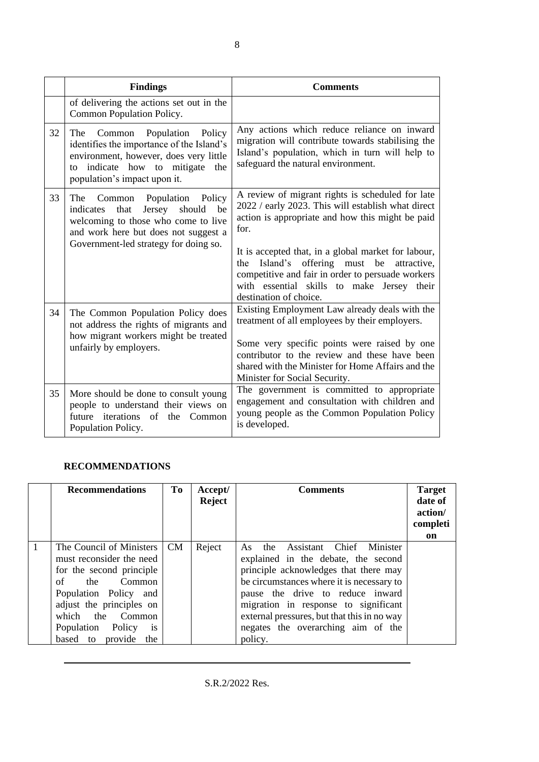|    | <b>Findings</b>                                                                                                                                                                                           | <b>Comments</b>                                                                                                                                                                                                                                                                                                                                                                                           |
|----|-----------------------------------------------------------------------------------------------------------------------------------------------------------------------------------------------------------|-----------------------------------------------------------------------------------------------------------------------------------------------------------------------------------------------------------------------------------------------------------------------------------------------------------------------------------------------------------------------------------------------------------|
|    | of delivering the actions set out in the<br>Common Population Policy.                                                                                                                                     |                                                                                                                                                                                                                                                                                                                                                                                                           |
| 32 | Common<br>Population<br>Policy<br>The<br>identifies the importance of the Island's<br>environment, however, does very little<br>to indicate how to mitigate<br>the<br>population's impact upon it.        | Any actions which reduce reliance on inward<br>migration will contribute towards stabilising the<br>Island's population, which in turn will help to<br>safeguard the natural environment.                                                                                                                                                                                                                 |
| 33 | Population<br>Policy<br>The Common<br>that<br>Jersey<br>should<br>be<br>indicates<br>welcoming to those who come to live<br>and work here but does not suggest a<br>Government-led strategy for doing so. | A review of migrant rights is scheduled for late<br>2022 / early 2023. This will establish what direct<br>action is appropriate and how this might be paid<br>for.<br>It is accepted that, in a global market for labour,<br>Island's offering must be<br>the<br>attractive,<br>competitive and fair in order to persuade workers<br>with essential skills to make Jersey their<br>destination of choice. |
| 34 | The Common Population Policy does<br>not address the rights of migrants and<br>how migrant workers might be treated<br>unfairly by employers.                                                             | Existing Employment Law already deals with the<br>treatment of all employees by their employers.<br>Some very specific points were raised by one<br>contributor to the review and these have been<br>shared with the Minister for Home Affairs and the<br>Minister for Social Security.                                                                                                                   |
| 35 | More should be done to consult young<br>people to understand their views on<br>future iterations<br>of<br>the<br>Common<br>Population Policy.                                                             | The government is committed to appropriate<br>engagement and consultation with children and<br>young people as the Common Population Policy<br>is developed.                                                                                                                                                                                                                                              |

## **RECOMMENDATIONS**

|   | <b>Recommendations</b>                                                                                                                                                                                                                                       | To        | Accept/<br><b>Reject</b> | <b>Comments</b>                                                                                                                                                                                                                                                                                                                             | <b>Target</b><br>date of<br>action/<br>completi<br>on |
|---|--------------------------------------------------------------------------------------------------------------------------------------------------------------------------------------------------------------------------------------------------------------|-----------|--------------------------|---------------------------------------------------------------------------------------------------------------------------------------------------------------------------------------------------------------------------------------------------------------------------------------------------------------------------------------------|-------------------------------------------------------|
| 1 | The Council of Ministers<br>must reconsider the need<br>for the second principle<br>$\alpha$ f<br>Common<br>the<br>Population Policy and<br>adjust the principles on<br>which the Common<br>Population Policy<br><sub>is</sub><br>provide<br>based to<br>the | <b>CM</b> | Reject                   | Assistant Chief Minister<br>As the<br>explained in the debate, the second<br>principle acknowledges that there may<br>be circumstances where it is necessary to<br>pause the drive to reduce inward<br>migration in response to significant<br>external pressures, but that this in no way<br>negates the overarching aim of the<br>policy. |                                                       |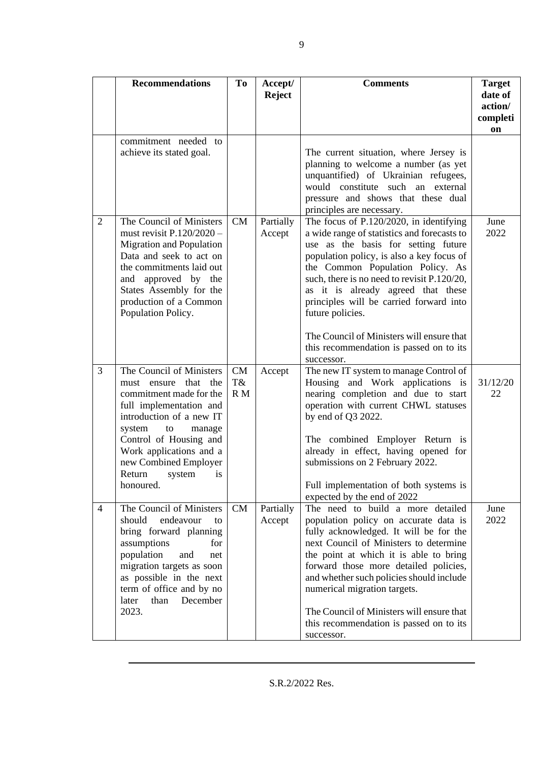|                | <b>Recommendations</b>                                                                                                                                                                                                                                                                  | To              | Accept/<br><b>Reject</b> | <b>Comments</b>                                                                                                                                                                                                                                                                                                                                                                                                                                            | <b>Target</b><br>date of<br>action/ |
|----------------|-----------------------------------------------------------------------------------------------------------------------------------------------------------------------------------------------------------------------------------------------------------------------------------------|-----------------|--------------------------|------------------------------------------------------------------------------------------------------------------------------------------------------------------------------------------------------------------------------------------------------------------------------------------------------------------------------------------------------------------------------------------------------------------------------------------------------------|-------------------------------------|
|                |                                                                                                                                                                                                                                                                                         |                 |                          |                                                                                                                                                                                                                                                                                                                                                                                                                                                            | completi<br>on                      |
|                | commitment needed to<br>achieve its stated goal.                                                                                                                                                                                                                                        |                 |                          | The current situation, where Jersey is<br>planning to welcome a number (as yet<br>unquantified) of Ukrainian refugees,<br>would constitute such an external<br>pressure and shows that these dual<br>principles are necessary.                                                                                                                                                                                                                             |                                     |
| $\overline{2}$ | The Council of Ministers<br>must revisit P.120/2020 -<br><b>Migration and Population</b><br>Data and seek to act on<br>the commitments laid out<br>and approved by the<br>States Assembly for the<br>production of a Common<br>Population Policy.                                       | CM              | Partially<br>Accept      | The focus of P.120/2020, in identifying<br>a wide range of statistics and forecasts to<br>use as the basis for setting future<br>population policy, is also a key focus of<br>the Common Population Policy. As<br>such, there is no need to revisit P.120/20,<br>as it is already agreed that these<br>principles will be carried forward into<br>future policies.<br>The Council of Ministers will ensure that<br>this recommendation is passed on to its | June<br>2022                        |
| 3              | The Council of Ministers<br>must ensure<br>that<br>the<br>commitment made for the<br>full implementation and<br>introduction of a new IT<br>system<br>to<br>manage<br>Control of Housing and<br>Work applications and a<br>new Combined Employer<br>Return<br>system<br>is<br>honoured. | CM<br>T&<br>R M | Accept                   | successor.<br>The new IT system to manage Control of<br>Housing and Work applications is<br>nearing completion and due to start<br>operation with current CHWL statuses<br>by end of Q3 2022.<br>The combined Employer Return is<br>already in effect, having opened for<br>submissions on 2 February 2022.<br>Full implementation of both systems is<br>expected by the end of 2022                                                                       | 31/12/20<br>22                      |
| $\overline{4}$ | The Council of Ministers<br>should<br>endeavour<br>to<br>bring forward planning<br>assumptions<br>for<br>population<br>and<br>net<br>migration targets as soon<br>as possible in the next<br>term of office and by no<br>later<br>than<br>December<br>2023.                             | CM              | Partially<br>Accept      | The need to build a more detailed<br>population policy on accurate data is<br>fully acknowledged. It will be for the<br>next Council of Ministers to determine<br>the point at which it is able to bring<br>forward those more detailed policies,<br>and whether such policies should include<br>numerical migration targets.<br>The Council of Ministers will ensure that<br>this recommendation is passed on to its<br>successor.                        | June<br>2022                        |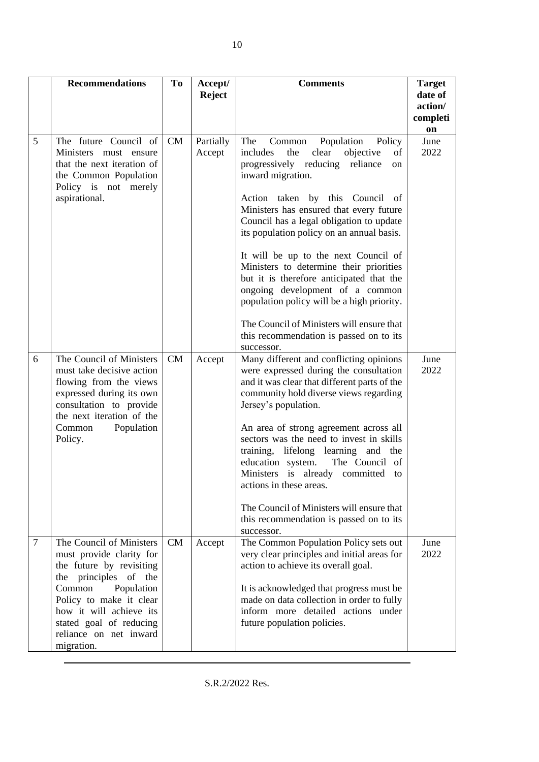|                | <b>Recommendations</b>                                                                                                                                                                                                                                        | T <sub>0</sub> | Accept/<br><b>Reject</b> | <b>Comments</b>                                                                                                                                                                                                                                                                                                                                                                                                                                                                                                                                                                                                                                    | <b>Target</b><br>date of<br>action/<br>completi<br>on |
|----------------|---------------------------------------------------------------------------------------------------------------------------------------------------------------------------------------------------------------------------------------------------------------|----------------|--------------------------|----------------------------------------------------------------------------------------------------------------------------------------------------------------------------------------------------------------------------------------------------------------------------------------------------------------------------------------------------------------------------------------------------------------------------------------------------------------------------------------------------------------------------------------------------------------------------------------------------------------------------------------------------|-------------------------------------------------------|
| 5              | The future Council of<br>Ministers must ensure<br>that the next iteration of<br>the Common Population<br>Policy is not merely<br>aspirational.                                                                                                                | CM             | Partially<br>Accept      | The<br>Population<br>Policy<br>Common<br>clear<br>objective<br>includes<br>the<br>of<br>progressively reducing<br>reliance<br>on<br>inward migration.<br>Action taken by this Council of<br>Ministers has ensured that every future<br>Council has a legal obligation to update<br>its population policy on an annual basis.<br>It will be up to the next Council of<br>Ministers to determine their priorities<br>but it is therefore anticipated that the<br>ongoing development of a common<br>population policy will be a high priority.<br>The Council of Ministers will ensure that<br>this recommendation is passed on to its<br>successor. | June<br>2022                                          |
| 6              | The Council of Ministers<br>must take decisive action<br>flowing from the views<br>expressed during its own<br>consultation to provide<br>the next iteration of the<br>Population<br>Common<br>Policy.                                                        | <b>CM</b>      | Accept                   | Many different and conflicting opinions<br>were expressed during the consultation<br>and it was clear that different parts of the<br>community hold diverse views regarding<br>Jersey's population.<br>An area of strong agreement across all<br>sectors was the need to invest in skills<br>training,<br>lifelong learning and the<br>education system.<br>The Council of<br>Ministers is already<br>committed<br>to<br>actions in these areas.<br>The Council of Ministers will ensure that<br>this recommendation is passed on to its<br>successor.                                                                                             | June<br>2022                                          |
| $\overline{7}$ | The Council of Ministers<br>must provide clarity for<br>the future by revisiting<br>principles of the<br>the<br>Common<br>Population<br>Policy to make it clear<br>how it will achieve its<br>stated goal of reducing<br>reliance on net inward<br>migration. | CM             | Accept                   | The Common Population Policy sets out<br>very clear principles and initial areas for<br>action to achieve its overall goal.<br>It is acknowledged that progress must be<br>made on data collection in order to fully<br>inform more detailed actions under<br>future population policies.                                                                                                                                                                                                                                                                                                                                                          | June<br>2022                                          |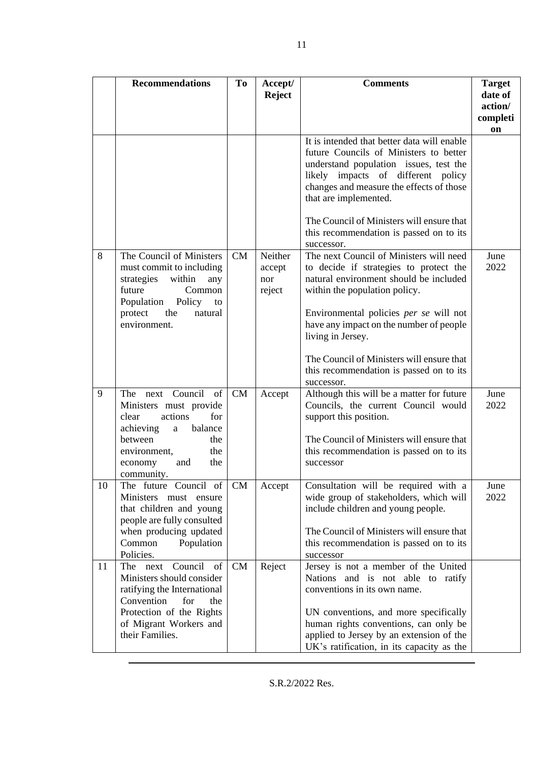|    | <b>Recommendations</b>                                                                                                                                                                              | T <sub>o</sub> | Accept/<br><b>Reject</b>           | <b>Comments</b>                                                                                                                                                                                                                                                                         | <b>Target</b><br>date of<br>action/<br>completi<br>on |
|----|-----------------------------------------------------------------------------------------------------------------------------------------------------------------------------------------------------|----------------|------------------------------------|-----------------------------------------------------------------------------------------------------------------------------------------------------------------------------------------------------------------------------------------------------------------------------------------|-------------------------------------------------------|
|    |                                                                                                                                                                                                     |                |                                    | It is intended that better data will enable<br>future Councils of Ministers to better<br>understand population issues, test the<br>likely impacts of different policy<br>changes and measure the effects of those<br>that are implemented.<br>The Council of Ministers will ensure that |                                                       |
|    |                                                                                                                                                                                                     |                |                                    | this recommendation is passed on to its<br>successor.                                                                                                                                                                                                                                   |                                                       |
| 8  | The Council of Ministers<br>must commit to including<br>strategies<br>within<br>any<br>future<br>Common<br>Population Policy to<br>the<br>protect<br>natural<br>environment.                        | CM             | Neither<br>accept<br>nor<br>reject | The next Council of Ministers will need<br>to decide if strategies to protect the<br>natural environment should be included<br>within the population policy.<br>Environmental policies per se will not<br>have any impact on the number of people<br>living in Jersey.                  | June<br>2022                                          |
|    |                                                                                                                                                                                                     |                |                                    | The Council of Ministers will ensure that<br>this recommendation is passed on to its<br>successor.                                                                                                                                                                                      |                                                       |
| 9  | The next Council<br>of<br>Ministers must provide<br>actions<br>for<br>clear<br>achieving<br>balance<br>$\mathbf{a}$<br>between<br>the<br>environment,<br>the<br>the<br>economy<br>and<br>community. | CM             | Accept                             | Although this will be a matter for future<br>Councils, the current Council would<br>support this position.<br>The Council of Ministers will ensure that<br>this recommendation is passed on to its<br>successor                                                                         | June<br>2022                                          |
| 10 | The future Council of<br>Ministers must ensure<br>that children and young<br>people are fully consulted<br>when producing updated<br>Common<br>Population<br>Policies.                              | CM             | Accept                             | Consultation will be required with a<br>wide group of stakeholders, which will<br>include children and young people.<br>The Council of Ministers will ensure that<br>this recommendation is passed on to its<br>successor                                                               | June<br>2022                                          |
| 11 | The next<br>Council<br>of<br>Ministers should consider<br>ratifying the International<br>Convention<br>for<br>the<br>Protection of the Rights<br>of Migrant Workers and<br>their Families.          | CM             | Reject                             | Jersey is not a member of the United<br>Nations and is not able to ratify<br>conventions in its own name.<br>UN conventions, and more specifically<br>human rights conventions, can only be<br>applied to Jersey by an extension of the<br>UK's ratification, in its capacity as the    |                                                       |